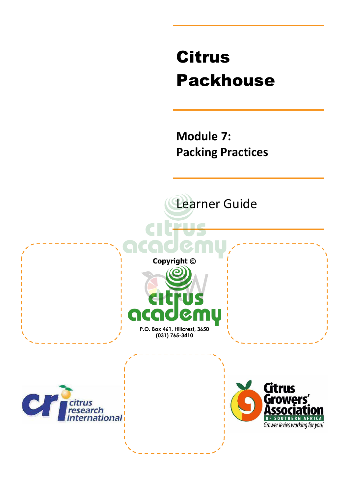# Citrus Packhouse

**Module 7: Packing Practices** 

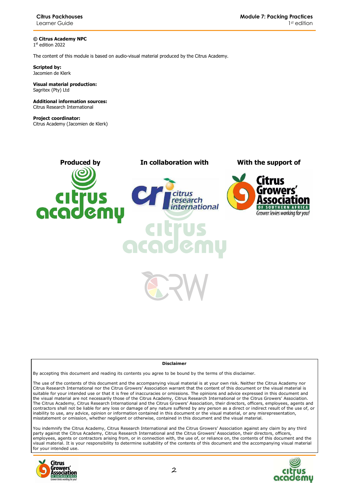**© Citrus Academy NPC**  1 st edition 2022

The content of this module is based on audio-visual material produced by the Citrus Academy.

**Scripted by:**  Jacomien de Klerk

#### **Visual material production:**  Sagritex (Pty) Ltd

**Additional information sources:**  Citrus Research International

**Project coordinator:** Citrus Academy (Jacomien de Klerk)



#### **Disclaimer**

By accepting this document and reading its contents you agree to be bound by the terms of this disclaimer.

The use of the contents of this document and the accompanying visual material is at your own risk. Neither the Citrus Academy nor Citrus Research International nor the Citrus Growers' Association warrant that the content of this document or the visual material is suitable for your intended use or that it is free of inaccuracies or omissions. The opinions and advice expressed in this document and the visual material are not necessarily those of the Citrus Academy, Citrus Research International or the Citrus Growers' Association. The Citrus Academy, Citrus Research International and the Citrus Growers' Association, their directors, officers, employees, agents and contractors shall not be liable for any loss or damage of any nature suffered by any person as a direct or indirect result of the use of, or inability to use, any advice, opinion or information contained in this document or the visual material, or any misrepresentation, misstatement or omission, whether negligent or otherwise, contained in this document and the visual material.

You indemnify the Citrus Academy, Citrus Research International and the Citrus Growers' Association against any claim by any third party against the Citrus Academy, Citrus Research International and the Citrus Growers' Association, their directors, officers, employees, agents or contractors arising from, or in connection with, the use of, or reliance on, the contents of this document and the visual material. It is your responsibility to determine suitability of the contents of this document and the accompanying visual material for your intended use.



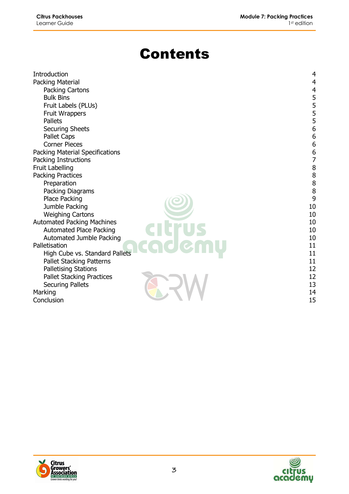# **Contents**

| <b>Introduction</b>               | 4                                     |
|-----------------------------------|---------------------------------------|
| Packing Material                  | $\overline{4}$                        |
| Packing Cartons                   | $\overline{4}$                        |
| <b>Bulk Bins</b>                  | 55556                                 |
| Fruit Labels (PLUs)               |                                       |
| Fruit Wrappers                    |                                       |
| <b>Pallets</b>                    |                                       |
| <b>Securing Sheets</b>            |                                       |
| Pallet Caps                       | $\begin{array}{c} 6 \\ 6 \end{array}$ |
| <b>Corner Pieces</b>              |                                       |
| Packing Material Specifications   | 6<br>$\overline{7}$                   |
| Packing Instructions              |                                       |
| <b>Fruit Labelling</b>            | 8                                     |
| <b>Packing Practices</b>          | $\begin{array}{c} 8 \\ 8 \end{array}$ |
| Preparation                       |                                       |
| Packing Diagrams                  | 8                                     |
| Place Packing                     | 9                                     |
| Jumble Packing                    | $10\,$                                |
| <b>Weighing Cartons</b>           | 10                                    |
| <b>Automated Packing Machines</b> | 10                                    |
| <b>Automated Place Packing</b>    | 10                                    |
| Automated Jumble Packing          | 10                                    |
| Palletisation                     | 11                                    |
| High Cube vs. Standard Pallets    | 11                                    |
| <b>Pallet Stacking Patterns</b>   | 11                                    |
| Palletising Stations              | 12                                    |
| <b>Pallet Stacking Practices</b>  | 12                                    |
| <b>Securing Pallets</b>           | 13                                    |
| Marking                           | 14                                    |
| Conclusion                        | 15                                    |



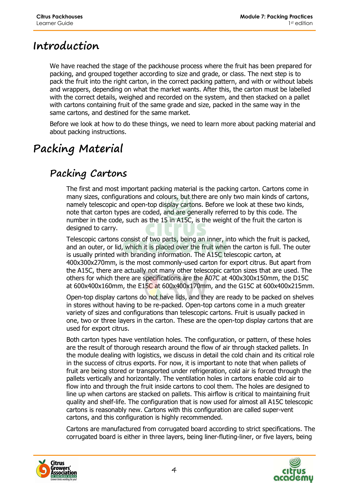# **Introduction**

We have reached the stage of the packhouse process where the fruit has been prepared for packing, and grouped together according to size and grade, or class. The next step is to pack the fruit into the right carton, in the correct packing pattern, and with or without labels and wrappers, depending on what the market wants. After this, the carton must be labelled with the correct details, weighed and recorded on the system, and then stacked on a pallet with cartons containing fruit of the same grade and size, packed in the same way in the same cartons, and destined for the same market.

Before we look at how to do these things, we need to learn more about packing material and about packing instructions.

# **Packing Material**

### **Packing Cartons**

The first and most important packing material is the packing carton. Cartons come in many sizes, configurations and colours, but there are only two main kinds of cartons, namely telescopic and open-top display cartons. Before we look at these two kinds, note that carton types are coded, and are generally referred to by this code. The number in the code, such as the 15 in A15C, is the weight of the fruit the carton is designed to carry.

Telescopic cartons consist of two parts, being an inner, into which the fruit is packed, and an outer, or lid, which it is placed over the fruit when the carton is full. The outer is usually printed with branding information. The A15C telescopic carton, at 400x300x270mm, is the most commonly-used carton for export citrus. But apart from the A15C, there are actually not many other telescopic carton sizes that are used. The others for which there are specifications are the A07C at 400x300x150mm, the D15C at 600x400x160mm, the E15C at 600x400x170mm, and the G15C at 600x400x215mm.

Open-top display cartons do not have lids, and they are ready to be packed on shelves in stores without having to be re-packed. Open-top cartons come in a much greater variety of sizes and configurations than telescopic cartons. Fruit is usually packed in one, two or three layers in the carton. These are the open-top display cartons that are used for export citrus.

Both carton types have ventilation holes. The configuration, or pattern, of these holes are the result of thorough research around the flow of air through stacked pallets. In the module dealing with logistics, we discuss in detail the cold chain and its critical role in the success of citrus exports. For now, it is important to note that when pallets of fruit are being stored or transported under refrigeration, cold air is forced through the pallets vertically and horizontally. The ventilation holes in cartons enable cold air to flow into and through the fruit inside cartons to cool them. The holes are designed to line up when cartons are stacked on pallets. This airflow is critical to maintaining fruit quality and shelf-life. The configuration that is now used for almost all A15C telescopic cartons is reasonably new. Cartons with this configuration are called super-vent cartons, and this configuration is highly recommended.

Cartons are manufactured from corrugated board according to strict specifications. The corrugated board is either in three layers, being liner-fluting-liner, or five layers, being



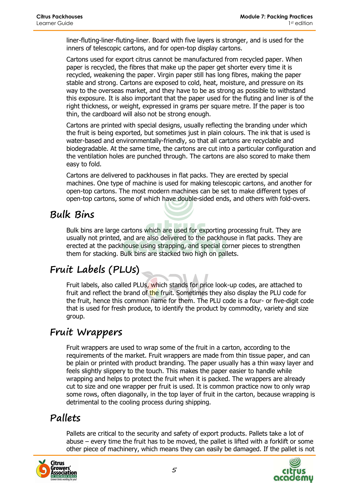liner-fluting-liner-fluting-liner. Board with five layers is stronger, and is used for the inners of telescopic cartons, and for open-top display cartons.

Cartons used for export citrus cannot be manufactured from recycled paper. When paper is recycled, the fibres that make up the paper get shorter every time it is recycled, weakening the paper. Virgin paper still has long fibres, making the paper stable and strong. Cartons are exposed to cold, heat, moisture, and pressure on its way to the overseas market, and they have to be as strong as possible to withstand this exposure. It is also important that the paper used for the fluting and liner is of the right thickness, or weight, expressed in grams per square metre. If the paper is too thin, the cardboard will also not be strong enough.

Cartons are printed with special designs, usually reflecting the branding under which the fruit is being exported, but sometimes just in plain colours. The ink that is used is water-based and environmentally-friendly, so that all cartons are recyclable and biodegradable. At the same time, the cartons are cut into a particular configuration and the ventilation holes are punched through. The cartons are also scored to make them easy to fold.

Cartons are delivered to packhouses in flat packs. They are erected by special machines. One type of machine is used for making telescopic cartons, and another for open-top cartons. The most modern machines can be set to make different types of open-top cartons, some of which have double-sided ends, and others with fold-overs.

#### **Bulk Bins**

Bulk bins are large cartons which are used for exporting processing fruit. They are usually not printed, and are also delivered to the packhouse in flat packs. They are erected at the packhouse using strapping, and special corner pieces to strengthen them for stacking. Bulk bins are stacked two high on pallets.

# **Fruit Labels (PLUs)**

Fruit labels, also called PLUs, which stands for price look-up codes, are attached to fruit and reflect the brand of the fruit. Sometimes they also display the PLU code for the fruit, hence this common name for them. The PLU code is a four- or five-digit code that is used for fresh produce, to identify the product by commodity, variety and size group.

#### **Fruit Wrappers**

Fruit wrappers are used to wrap some of the fruit in a carton, according to the requirements of the market. Fruit wrappers are made from thin tissue paper, and can be plain or printed with product branding. The paper usually has a thin waxy layer and feels slightly slippery to the touch. This makes the paper easier to handle while wrapping and helps to protect the fruit when it is packed. The wrappers are already cut to size and one wrapper per fruit is used. It is common practice now to only wrap some rows, often diagonally, in the top layer of fruit in the carton, because wrapping is detrimental to the cooling process during shipping.

#### **Pallets**

Pallets are critical to the security and safety of export products. Pallets take a lot of abuse – every time the fruit has to be moved, the pallet is lifted with a forklift or some other piece of machinery, which means they can easily be damaged. If the pallet is not



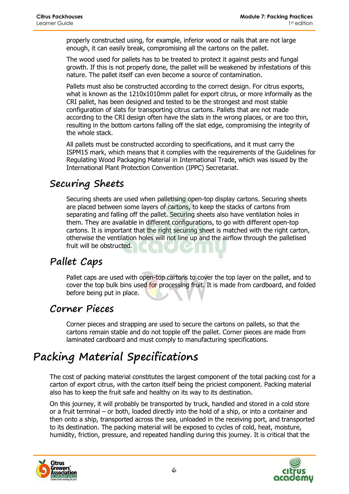properly constructed using, for example, inferior wood or nails that are not large enough, it can easily break, compromising all the cartons on the pallet.

The wood used for pallets has to be treated to protect it against pests and fungal growth. If this is not properly done, the pallet will be weakened by infestations of this nature. The pallet itself can even become a source of contamination.

Pallets must also be constructed according to the correct design. For citrus exports, what is known as the 1210x1010mm pallet for export citrus, or more informally as the CRI pallet, has been designed and tested to be the strongest and most stable configuration of slats for transporting citrus cartons. Pallets that are not made according to the CRI design often have the slats in the wrong places, or are too thin, resulting in the bottom cartons falling off the slat edge, compromising the integrity of the whole stack.

All pallets must be constructed according to specifications, and it must carry the ISPM15 mark, which means that it complies with the requirements of the Guidelines for Regulating Wood Packaging Material in International Trade, which was issued by the International Plant Protection Convention (IPPC) Secretariat.

#### **Securing Sheets**

Securing sheets are used when palletising open-top display cartons. Securing sheets are placed between some layers of cartons, to keep the stacks of cartons from separating and falling off the pallet. Securing sheets also have ventilation holes in them. They are available in different configurations, to go with different open-top cartons. It is important that the right securing sheet is matched with the right carton, otherwise the ventilation holes will not line up and the airflow through the palletised fruit will be obstructed.

### **Pallet Caps**

Pallet caps are used with open-top cartons to cover the top layer on the pallet, and to cover the top bulk bins used for processing fruit. It is made from cardboard, and folded before being put in place.

#### **Corner Pieces**

Corner pieces and strapping are used to secure the cartons on pallets, so that the cartons remain stable and do not topple off the pallet. Corner pieces are made from laminated cardboard and must comply to manufacturing specifications.

# **Packing Material Specifications**

The cost of packing material constitutes the largest component of the total packing cost for a carton of export citrus, with the carton itself being the priciest component. Packing material also has to keep the fruit safe and healthy on its way to its destination.

On this journey, it will probably be transported by truck, handled and stored in a cold store or a fruit terminal – or both, loaded directly into the hold of a ship, or into a container and then onto a ship, transported across the sea, unloaded in the receiving port, and transported to its destination. The packing material will be exposed to cycles of cold, heat, moisture, humidity, friction, pressure, and repeated handling during this journey. It is critical that the



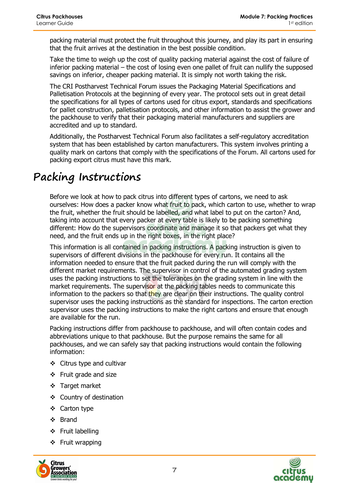packing material must protect the fruit throughout this journey, and play its part in ensuring that the fruit arrives at the destination in the best possible condition.

Take the time to weigh up the cost of quality packing material against the cost of failure of inferior packing material – the cost of losing even one pallet of fruit can nullify the supposed savings on inferior, cheaper packing material. It is simply not worth taking the risk.

The CRI Postharvest Technical Forum issues the Packaging Material Specifications and Palletisation Protocols at the beginning of every year. The protocol sets out in great detail the specifications for all types of cartons used for citrus export, standards and specifications for pallet construction, palletisation protocols, and other information to assist the grower and the packhouse to verify that their packaging material manufacturers and suppliers are accredited and up to standard.

Additionally, the Postharvest Technical Forum also facilitates a self-regulatory accreditation system that has been established by carton manufacturers. This system involves printing a quality mark on cartons that comply with the specifications of the Forum. All cartons used for packing export citrus must have this mark.

# **Packing Instructions**

Before we look at how to pack citrus into different types of cartons, we need to ask ourselves: How does a packer know what fruit to pack, which carton to use, whether to wrap the fruit, whether the fruit should be labelled, and what label to put on the carton? And, taking into account that every packer at every table is likely to be packing something different: How do the supervisors coordinate and manage it so that packers get what they need, and the fruit ends up in the right boxes, in the right place?

This information is all contained in packing instructions. A packing instruction is given to supervisors of different divisions in the packhouse for every run. It contains all the information needed to ensure that the fruit packed during the run will comply with the different market requirements. The supervisor in control of the automated grading system uses the packing instructions to set the tolerances on the grading system in line with the market requirements. The supervisor at the packing tables needs to communicate this information to the packers so that they are clear on their instructions. The quality control supervisor uses the packing instructions as the standard for inspections. The carton erection supervisor uses the packing instructions to make the right cartons and ensure that enough are available for the run.

Packing instructions differ from packhouse to packhouse, and will often contain codes and abbreviations unique to that packhouse. But the purpose remains the same for all packhouses, and we can safely say that packing instructions would contain the following information:

- Citrus type and cultivar
- $\div$  Fruit grade and size
- Target market
- ❖ Country of destination
- ❖ Carton type
- ❖ Brand
- ❖ Fruit labelling
- ❖ Fruit wrapping



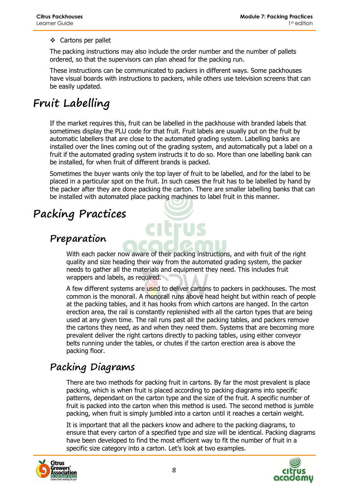#### ❖ Cartons per pallet

The packing instructions may also include the order number and the number of pallets ordered, so that the supervisors can plan ahead for the packing run.

These instructions can be communicated to packers in different ways. Some packhouses have visual boards with instructions to packers, while others use television screens that can be easily updated.

# **Fruit Labelling**

If the market requires this, fruit can be labelled in the packhouse with branded labels that sometimes display the PLU code for that fruit. Fruit labels are usually put on the fruit by automatic labellers that are close to the automated grading system. Labelling banks are installed over the lines coming out of the grading system, and automatically put a label on a fruit if the automated grading system instructs it to do so. More than one labelling bank can be installed, for when fruit of different brands is packed.

Sometimes the buyer wants only the top layer of fruit to be labelled, and for the label to be placed in a particular spot on the fruit. In such cases the fruit has to be labelled by hand by the packer after they are done packing the carton. There are smaller labelling banks that can be installed with automated place packing machines to label fruit in this manner.

# **Packing Practices**

#### **Preparation**

With each packer now aware of their packing instructions, and with fruit of the right quality and size heading their way from the automated grading system, the packer needs to gather all the materials and equipment they need. This includes fruit wrappers and labels, as required.

A few different systems are used to deliver cartons to packers in packhouses. The most common is the monorail. A monorail runs above head height but within reach of people at the packing tables, and it has hooks from which cartons are hanged. In the carton erection area, the rail is constantly replenished with all the carton types that are being used at any given time. The rail runs past all the packing tables, and packers remove the cartons they need, as and when they need them. Systems that are becoming more prevalent deliver the right cartons directly to packing tables, using either conveyor belts running under the tables, or chutes if the carton erection area is above the packing floor.

### **Packing Diagrams**

There are two methods for packing fruit in cartons. By far the most prevalent is place packing, which is when fruit is placed according to packing diagrams into specific patterns, dependant on the carton type and the size of the fruit. A specific number of fruit is packed into the carton when this method is used. The second method is jumble packing, when fruit is simply jumbled into a carton until it reaches a certain weight.

It is important that all the packers know and adhere to the packing diagrams, to ensure that every carton of a specified type and size will be identical. Packing diagrams have been developed to find the most efficient way to fit the number of fruit in a specific size category into a carton. Let's look at two examples.



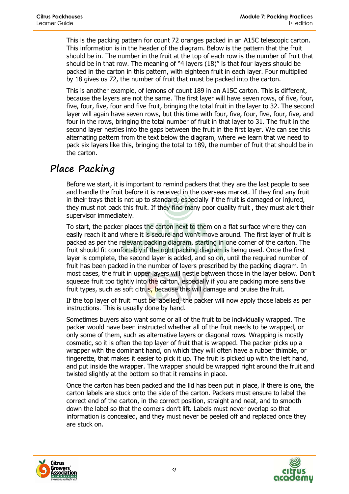This is the packing pattern for count 72 oranges packed in an A15C telescopic carton. This information is in the header of the diagram. Below is the pattern that the fruit should be in. The number in the fruit at the top of each row is the number of fruit that should be in that row. The meaning of "4 layers (18)" is that four layers should be packed in the carton in this pattern, with eighteen fruit in each layer. Four multiplied by 18 gives us 72, the number of fruit that must be packed into the carton.

This is another example, of lemons of count 189 in an A15C carton. This is different, because the layers are not the same. The first layer will have seven rows, of five, four, five, four, five, four and five fruit, bringing the total fruit in the layer to 32. The second layer will again have seven rows, but this time with four, five, four, five, four, five, and four in the rows, bringing the total number of fruit in that layer to 31. The fruit in the second layer nestles into the gaps between the fruit in the first layer. We can see this alternating pattern from the text below the diagram, where we learn that we need to pack six layers like this, bringing the total to 189, the number of fruit that should be in the carton.

#### **Place Packing**

Before we start, it is important to remind packers that they are the last people to see and handle the fruit before it is received in the overseas market. If they find any fruit in their trays that is not up to standard, especially if the fruit is damaged or injured, they must not pack this fruit. If they find many poor quality fruit , they must alert their supervisor immediately.

To start, the packer places the carton next to them on a flat surface where they can easily reach it and where it is secure and won't move around. The first layer of fruit is packed as per the relevant packing diagram, starting in one corner of the carton. The fruit should fit comfortably if the right packing diagram is being used. Once the first layer is complete, the second layer is added, and so on, until the required number of fruit has been packed in the number of layers prescribed by the packing diagram. In most cases, the fruit in upper layers will nestle between those in the layer below. Don't squeeze fruit too tightly into the carton, especially if you are packing more sensitive fruit types, such as soft citrus, because this will damage and bruise the fruit.

If the top layer of fruit must be labelled, the packer will now apply those labels as per instructions. This is usually done by hand.

Sometimes buyers also want some or all of the fruit to be individually wrapped. The packer would have been instructed whether all of the fruit needs to be wrapped, or only some of them, such as alternative layers or diagonal rows. Wrapping is mostly cosmetic, so it is often the top layer of fruit that is wrapped. The packer picks up a wrapper with the dominant hand, on which they will often have a rubber thimble, or fingerette, that makes it easier to pick it up. The fruit is picked up with the left hand, and put inside the wrapper. The wrapper should be wrapped right around the fruit and twisted slightly at the bottom so that it remains in place.

Once the carton has been packed and the lid has been put in place, if there is one, the carton labels are stuck onto the side of the carton. Packers must ensure to label the correct end of the carton, in the correct position, straight and neat, and to smooth down the label so that the corners don't lift. Labels must never overlap so that information is concealed, and they must never be peeled off and replaced once they are stuck on.



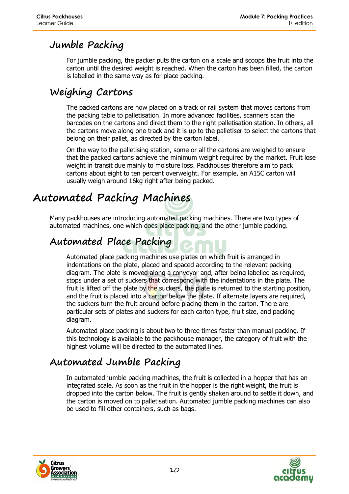## **Jumble Packing**

For jumble packing, the packer puts the carton on a scale and scoops the fruit into the carton until the desired weight is reached. When the carton has been filled, the carton is labelled in the same way as for place packing.

## **Weighing Cartons**

The packed cartons are now placed on a track or rail system that moves cartons from the packing table to palletisation. In more advanced facilities, scanners scan the barcodes on the cartons and direct them to the right palletisation station. In others, all the cartons move along one track and it is up to the palletiser to select the cartons that belong on their pallet, as directed by the carton label.

On the way to the palletising station, some or all the cartons are weighed to ensure that the packed cartons achieve the minimum weight required by the market. Fruit lose weight in transit due mainly to moisture loss. Packhouses therefore aim to pack cartons about eight to ten percent overweight. For example, an A15C carton will usually weigh around 16kg right after being packed.

# **Automated Packing Machines**

Many packhouses are introducing automated packing machines. There are two types of automated machines, one which does place packing, and the other jumble packing.

## **Automated Place Packing**

Automated place packing machines use plates on which fruit is arranged in indentations on the plate, placed and spaced according to the relevant packing diagram. The plate is moved along a conveyor and, after being labelled as required, stops under a set of suckers that correspond with the indentations in the plate. The fruit is lifted off the plate by the suckers, the plate is returned to the starting position, and the fruit is placed into a carton below the plate. If alternate layers are required, the suckers turn the fruit around before placing them in the carton. There are particular sets of plates and suckers for each carton type, fruit size, and packing diagram.

Automated place packing is about two to three times faster than manual packing. If this technology is available to the packhouse manager, the category of fruit with the highest volume will be directed to the automated lines.

### **Automated Jumble Packing**

In automated jumble packing machines, the fruit is collected in a hopper that has an integrated scale. As soon as the fruit in the hopper is the right weight, the fruit is dropped into the carton below. The fruit is gently shaken around to settle it down, and the carton is moved on to palletisation. Automated jumble packing machines can also be used to fill other containers, such as bags.



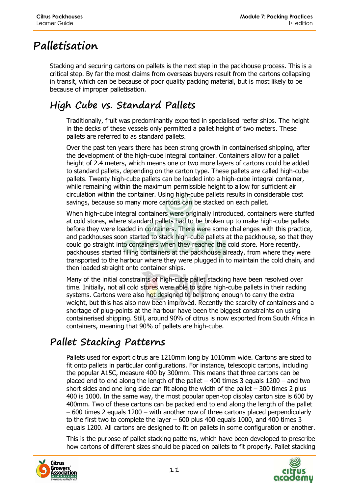# **Palletisation**

Stacking and securing cartons on pallets is the next step in the packhouse process. This is a critical step. By far the most claims from overseas buyers result from the cartons collapsing in transit, which can be because of poor quality packing material, but is most likely to be because of improper palletisation.

# **High Cube vs. Standard Pallets**

Traditionally, fruit was predominantly exported in specialised reefer ships. The height in the decks of these vessels only permitted a pallet height of two meters. These pallets are referred to as standard pallets.

Over the past ten years there has been strong growth in containerised shipping, after the development of the high-cube integral container. Containers allow for a pallet height of 2.4 meters, which means one or two more layers of cartons could be added to standard pallets, depending on the carton type. These pallets are called high-cube pallets. Twenty high-cube pallets can be loaded into a high-cube integral container, while remaining within the maximum permissible height to allow for sufficient air circulation within the container. Using high-cube pallets results in considerable cost savings, because so many more cartons can be stacked on each pallet.

When high-cube integral containers were originally introduced, containers were stuffed at cold stores, where standard pallets had to be broken up to make high-cube pallets before they were loaded in containers. There were some challenges with this practice, and packhouses soon started to stack high-cube pallets at the packhouse, so that they could go straight into containers when they reached the cold store. More recently, packhouses started filling containers at the packhouse already, from where they were transported to the harbour where they were plugged in to maintain the cold chain, and then loaded straight onto container ships.

Many of the initial constraints of high-cube pallet stacking have been resolved over time. Initially, not all cold stores were able to store high-cube pallets in their racking systems. Cartons were also not designed to be strong enough to carry the extra weight, but this has also now been improved. Recently the scarcity of containers and a shortage of plug-points at the harbour have been the biggest constraints on using containerised shipping. Still, around 90% of citrus is now exported from South Africa in containers, meaning that 90% of pallets are high-cube.

# **Pallet Stacking Patterns**

Pallets used for export citrus are 1210mm long by 1010mm wide. Cartons are sized to fit onto pallets in particular configurations. For instance, telescopic cartons, including the popular A15C, measure 400 by 300mm. This means that three cartons can be placed end to end along the length of the pallet  $-$  400 times 3 equals 1200  $-$  and two short sides and one long side can fit along the width of the pallet  $-300$  times 2 plus 400 is 1000. In the same way, the most popular open-top display carton size is 600 by 400mm. Two of these cartons can be packed end to end along the length of the pallet – 600 times 2 equals 1200 – with another row of three cartons placed perpendicularly to the first two to complete the layer – 600 plus 400 equals 1000, and 400 times 3 equals 1200. All cartons are designed to fit on pallets in some configuration or another.

This is the purpose of pallet stacking patterns, which have been developed to prescribe how cartons of different sizes should be placed on pallets to fit properly. Pallet stacking



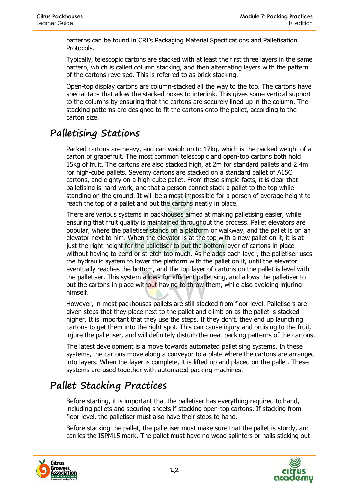patterns can be found in CRI's Packaging Material Specifications and Palletisation Protocols.

Typically, telescopic cartons are stacked with at least the first three layers in the same pattern, which is called column stacking, and then alternating layers with the pattern of the cartons reversed. This is referred to as brick stacking.

Open-top display cartons are column-stacked all the way to the top. The cartons have special tabs that allow the stacked boxes to interlink. This gives some vertical support to the columns by ensuring that the cartons are securely lined up in the column. The stacking patterns are designed to fit the cartons onto the pallet, according to the carton size.

### **Palletising Stations**

Packed cartons are heavy, and can weigh up to 17kg, which is the packed weight of a carton of grapefruit. The most common telescopic and open-top cartons both hold 15kg of fruit. The cartons are also stacked high, at 2m for standard pallets and 2.4m for high-cube pallets. Seventy cartons are stacked on a standard pallet of A15C cartons, and eighty on a high-cube pallet. From these simple facts, it is clear that palletising is hard work, and that a person cannot stack a pallet to the top while standing on the ground. It will be almost impossible for a person of average height to reach the top of a pallet and put the cartons neatly in place.

There are various systems in packhouses aimed at making palletising easier, while ensuring that fruit quality is maintained throughout the process. Pallet elevators are popular, where the palletiser stands on a platform or walkway, and the pallet is on an elevator next to him. When the elevator is at the top with a new pallet on it, it is at just the right height for the palletiser to put the bottom layer of cartons in place without having to bend or stretch too much. As he adds each layer, the palletiser uses the hydraulic system to lower the platform with the pallet on it, until the elevator eventually reaches the bottom, and the top layer of cartons on the pallet is level with the palletiser. This system allows for efficient palletising, and allows the palletiser to put the cartons in place without having to throw them, while also avoiding injuring himself.

However, in most packhouses pallets are still stacked from floor level. Palletisers are given steps that they place next to the pallet and climb on as the pallet is stacked higher. It is important that they use the steps. If they don't, they end up launching cartons to get them into the right spot. This can cause injury and bruising to the fruit, injure the palletiser, and will definitely disturb the neat packing patterns of the cartons.

The latest development is a move towards automated palletising systems. In these systems, the cartons move along a conveyor to a plate where the cartons are arranged into layers. When the layer is complete, it is lifted up and placed on the pallet. These systems are used together with automated packing machines.

### **Pallet Stacking Practices**

Before starting, it is important that the palletiser has everything required to hand, including pallets and securing sheets if stacking open-top cartons. If stacking from floor level, the palletiser must also have their steps to hand.

Before stacking the pallet, the palletiser must make sure that the pallet is sturdy, and carries the ISPM15 mark. The pallet must have no wood splinters or nails sticking out



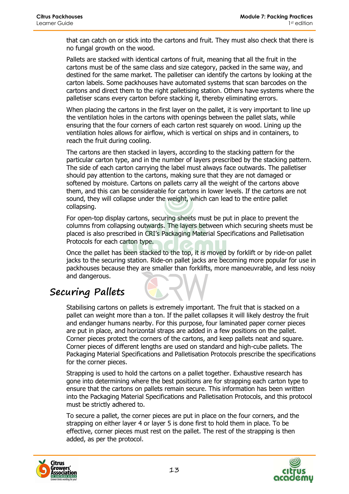that can catch on or stick into the cartons and fruit. They must also check that there is no fungal growth on the wood.

Pallets are stacked with identical cartons of fruit, meaning that all the fruit in the cartons must be of the same class and size category, packed in the same way, and destined for the same market. The palletiser can identify the cartons by looking at the carton labels. Some packhouses have automated systems that scan barcodes on the cartons and direct them to the right palletising station. Others have systems where the palletiser scans every carton before stacking it, thereby eliminating errors.

When placing the cartons in the first layer on the pallet, it is very important to line up the ventilation holes in the cartons with openings between the pallet slats, while ensuring that the four corners of each carton rest squarely on wood. Lining up the ventilation holes allows for airflow, which is vertical on ships and in containers, to reach the fruit during cooling.

The cartons are then stacked in layers, according to the stacking pattern for the particular carton type, and in the number of layers prescribed by the stacking pattern. The side of each carton carrying the label must always face outwards. The palletiser should pay attention to the cartons, making sure that they are not damaged or softened by moisture. Cartons on pallets carry all the weight of the cartons above them, and this can be considerable for cartons in lower levels. If the cartons are not sound, they will collapse under the weight, which can lead to the entire pallet collapsing.

For open-top display cartons, securing sheets must be put in place to prevent the columns from collapsing outwards. The layers between which securing sheets must be placed is also prescribed in CRI's Packaging Material Specifications and Palletisation Protocols for each carton type.

Once the pallet has been stacked to the top, it is moved by forklift or by ride-on pallet jacks to the securing station. Ride-on pallet jacks are becoming more popular for use in packhouses because they are smaller than forklifts, more manoeuvrable, and less noisy and dangerous.

### **Securing Pallets**

Stabilising cartons on pallets is extremely important. The fruit that is stacked on a pallet can weight more than a ton. If the pallet collapses it will likely destroy the fruit and endanger humans nearby. For this purpose, four laminated paper corner pieces are put in place, and horizontal straps are added in a few positions on the pallet. Corner pieces protect the corners of the cartons, and keep pallets neat and square. Corner pieces of different lengths are used on standard and high-cube pallets. The Packaging Material Specifications and Palletisation Protocols prescribe the specifications for the corner pieces.

Strapping is used to hold the cartons on a pallet together. Exhaustive research has gone into determining where the best positions are for strapping each carton type to ensure that the cartons on pallets remain secure. This information has been written into the Packaging Material Specifications and Palletisation Protocols, and this protocol must be strictly adhered to.

To secure a pallet, the corner pieces are put in place on the four corners, and the strapping on either layer 4 or layer 5 is done first to hold them in place. To be effective, corner pieces must rest on the pallet. The rest of the strapping is then added, as per the protocol.



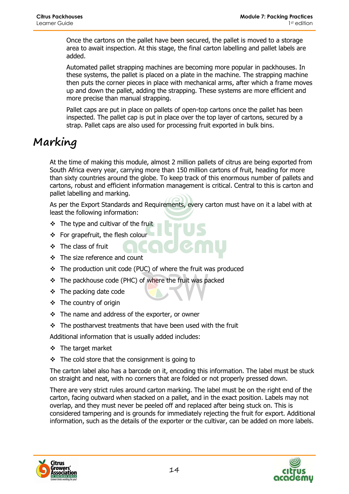Once the cartons on the pallet have been secured, the pallet is moved to a storage area to await inspection. At this stage, the final carton labelling and pallet labels are added.

Automated pallet strapping machines are becoming more popular in packhouses. In these systems, the pallet is placed on a plate in the machine. The strapping machine then puts the corner pieces in place with mechanical arms, after which a frame moves up and down the pallet, adding the strapping. These systems are more efficient and more precise than manual strapping.

Pallet caps are put in place on pallets of open-top cartons once the pallet has been inspected. The pallet cap is put in place over the top layer of cartons, secured by a strap. Pallet caps are also used for processing fruit exported in bulk bins.

# **Marking**

At the time of making this module, almost 2 million pallets of citrus are being exported from South Africa every year, carrying more than 150 million cartons of fruit, heading for more than sixty countries around the globe. To keep track of this enormous number of pallets and cartons, robust and efficient information management is critical. Central to this is carton and pallet labelling and marking.

As per the Export Standards and Requirements, every carton must have on it a label with at least the following information:

- $\div$  The type and cultivar of the fruit
- For grapefruit, the flesh colour
- $\div$  The class of fruit
- The size reference and count
- The production unit code (PUC) of where the fruit was produced
- \* The packhouse code (PHC) of where the fruit was packed
- The packing date code
- $\div$  The country of origin
- $\div$  The name and address of the exporter, or owner
- $\div$  The postharvest treatments that have been used with the fruit

Additional information that is usually added includes:

- $\div$  The target market
- $\div$  The cold store that the consignment is going to

The carton label also has a barcode on it, encoding this information. The label must be stuck on straight and neat, with no corners that are folded or not properly pressed down.

There are very strict rules around carton marking. The label must be on the right end of the carton, facing outward when stacked on a pallet, and in the exact position. Labels may not overlap, and they must never be peeled off and replaced after being stuck on. This is considered tampering and is grounds for immediately rejecting the fruit for export. Additional information, such as the details of the exporter or the cultivar, can be added on more labels.